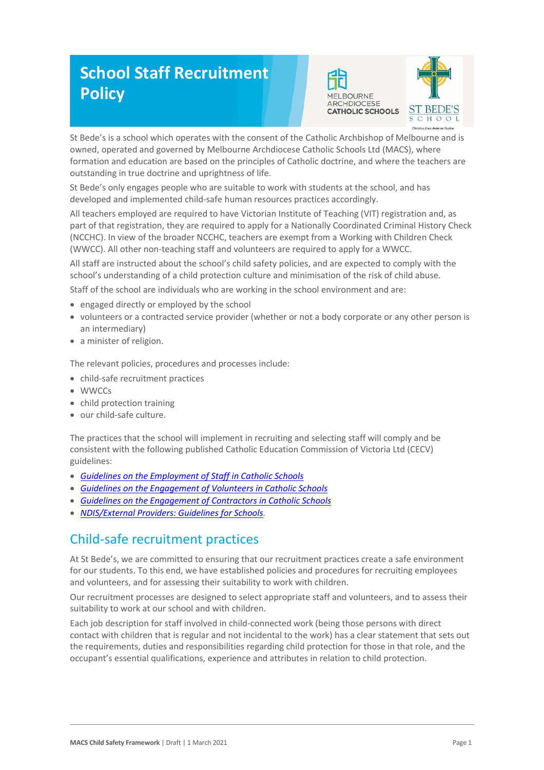# **School Staff Recruitment Policy**





St Bede's is a school which operates with the consent of the Catholic Archbishop of Melbourne and is owned, operated and governed by Melbourne Archdiocese Catholic Schools Ltd (MACS), where formation and education are based on the principles of Catholic doctrine, and where the teachers are outstanding in true doctrine and uprightness of life.

St Bede's only engages people who are suitable to work with students at the school, and has developed and implemented child-safe human resources practices accordingly.

All teachers employed are required to have Victorian Institute of Teaching (VIT) registration and, as part of that registration, they are required to apply for a Nationally Coordinated Criminal History Check (NCCHC). In view of the broader NCCHC, teachers are exempt from a Working with Children Check (WWCC). All other non-teaching staff and volunteers are required to apply for a WWCC.

All staff are instructed about the school's child safety policies, and are expected to comply with the school's understanding of a child protection culture and minimisation of the risk of child abuse.

Staff of the school are individuals who are working in the school environment and are:

- engaged directly or employed by the school
- volunteers or a contracted service provider (whether or not a body corporate or any other person is an intermediary)
- a minister of religion.

The relevant policies, procedures and processes include:

- child-safe recruitment practices
- WWCCs
- child protection training
- our child-safe culture.

The practices that the school will implement in recruiting and selecting staff will comply and be consistent with the following published Catholic Education Commission of Victoria Ltd (CECV) guidelines:

- *Guidelines on the [Employment of Staff in Catholic Schools](https://www.cecv.catholic.edu.au/getmedia/0393d7fb-2fb9-4e48-a05e-56b703dd62eb/Employment-Guidelines.aspx)*
- *[Guidelines on the Engagement of Volunteers in Catholic Schools](https://www.cecv.catholic.edu.au/Media-Files/IR/Policies-Guidelines/Volunteers/Guidelines-on-the-Engagement-of-Volunteers.aspx)*
- *[Guidelines on the Engagement of Contractors in Catholic Schools](https://www.cecv.catholic.edu.au/Media-Files/IR/Policies-Guidelines/Staff,-Contractors,-Volunteers/Contractor-Guidelines.aspx)*
- *[NDIS/External Providers: Guidelines for Schools.](https://www.cecv.catholic.edu.au/getmedia/cec12bdf-5e03-4d3a-ac47-504fe084f415/NDIS-External-Providers-Guidelines.aspx?ext=.pdf)*

## Child-safe recruitment practices

At St Bede's, we are committed to ensuring that our recruitment practices create a safe environment for our students. To this end, we have established policies and procedures for recruiting employees and volunteers, and for assessing their suitability to work with children.

Our recruitment processes are designed to select appropriate staff and volunteers, and to assess their suitability to work at our school and with children.

Each job description for staff involved in child-connected work (being those persons with direct contact with children that is regular and not incidental to the work) has a clear statement that sets out the requirements, duties and responsibilities regarding child protection for those in that role, and the occupant's essential qualifications, experience and attributes in relation to child protection.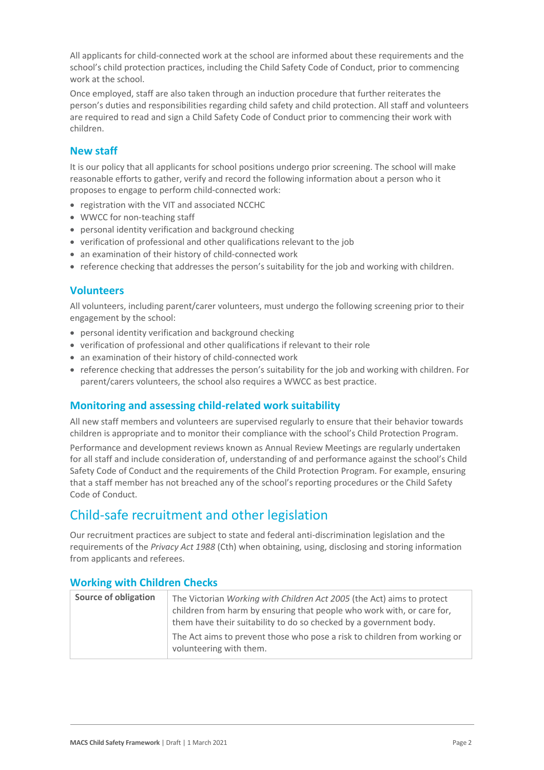All applicants for child-connected work at the school are informed about these requirements and the school's child protection practices, including the Child Safety Code of Conduct, prior to commencing work at the school.

Once employed, staff are also taken through an induction procedure that further reiterates the person's duties and responsibilities regarding child safety and child protection. All staff and volunteers are required to read and sign a Child Safety Code of Conduct prior to commencing their work with children.

### **New staff**

It is our policy that all applicants for school positions undergo prior screening. The school will make reasonable efforts to gather, verify and record the following information about a person who it proposes to engage to perform child-connected work:

- registration with the VIT and associated NCCHC
- WWCC for non-teaching staff
- personal identity verification and background checking
- verification of professional and other qualifications relevant to the job
- an examination of their history of child-connected work
- reference checking that addresses the person's suitability for the job and working with children.

#### **Volunteers**

All volunteers, including parent/carer volunteers, must undergo the following screening prior to their engagement by the school:

- personal identity verification and background checking
- verification of professional and other qualifications if relevant to their role
- an examination of their history of child-connected work
- reference checking that addresses the person's suitability for the job and working with children. For parent/carers volunteers, the school also requires a WWCC as best practice.

#### **Monitoring and assessing child-related work suitability**

All new staff members and volunteers are supervised regularly to ensure that their behavior towards children is appropriate and to monitor their compliance with the school's Child Protection Program.

Performance and development reviews known as Annual Review Meetings are regularly undertaken for all staff and include consideration of, understanding of and performance against the school's Child Safety Code of Conduct and the requirements of the Child Protection Program. For example, ensuring that a staff member has not breached any of the school's reporting procedures or the Child Safety Code of Conduct.

## Child-safe recruitment and other legislation

Our recruitment practices are subject to state and federal anti-discrimination legislation and the requirements of the *Privacy Act 1988* (Cth) when obtaining, using, disclosing and storing information from applicants and referees.

| Source of obligation | The Victorian Working with Children Act 2005 (the Act) aims to protect                                                                       |
|----------------------|----------------------------------------------------------------------------------------------------------------------------------------------|
|                      | children from harm by ensuring that people who work with, or care for,<br>them have their suitability to do so checked by a government body. |
|                      | The Act aims to prevent those who pose a risk to children from working or<br>volunteering with them.                                         |

#### **Working with Children Checks**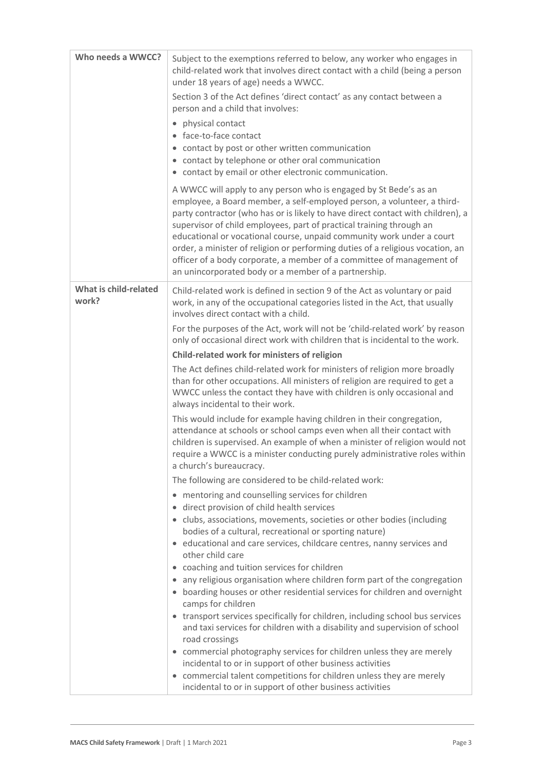| Who needs a WWCC?              | Subject to the exemptions referred to below, any worker who engages in<br>child-related work that involves direct contact with a child (being a person<br>under 18 years of age) needs a WWCC.<br>Section 3 of the Act defines 'direct contact' as any contact between a<br>person and a child that involves:<br>• physical contact<br>• face-to-face contact<br>• contact by post or other written communication<br>• contact by telephone or other oral communication<br>• contact by email or other electronic communication.<br>A WWCC will apply to any person who is engaged by St Bede's as an<br>employee, a Board member, a self-employed person, a volunteer, a third-<br>party contractor (who has or is likely to have direct contact with children), a<br>supervisor of child employees, part of practical training through an<br>educational or vocational course, unpaid community work under a court<br>order, a minister of religion or performing duties of a religious vocation, an<br>officer of a body corporate, a member of a committee of management of<br>an unincorporated body or a member of a partnership.                                                                                                                                                                                                                                                                                                                                                                                                                                                                                                                                                                                                                                                                                                                                                                                                                                                                                                                                                                                                       |
|--------------------------------|-----------------------------------------------------------------------------------------------------------------------------------------------------------------------------------------------------------------------------------------------------------------------------------------------------------------------------------------------------------------------------------------------------------------------------------------------------------------------------------------------------------------------------------------------------------------------------------------------------------------------------------------------------------------------------------------------------------------------------------------------------------------------------------------------------------------------------------------------------------------------------------------------------------------------------------------------------------------------------------------------------------------------------------------------------------------------------------------------------------------------------------------------------------------------------------------------------------------------------------------------------------------------------------------------------------------------------------------------------------------------------------------------------------------------------------------------------------------------------------------------------------------------------------------------------------------------------------------------------------------------------------------------------------------------------------------------------------------------------------------------------------------------------------------------------------------------------------------------------------------------------------------------------------------------------------------------------------------------------------------------------------------------------------------------------------------------------------------------------------------------------------------------|
| What is child-related<br>work? | Child-related work is defined in section 9 of the Act as voluntary or paid<br>work, in any of the occupational categories listed in the Act, that usually<br>involves direct contact with a child.<br>For the purposes of the Act, work will not be 'child-related work' by reason<br>only of occasional direct work with children that is incidental to the work.<br>Child-related work for ministers of religion<br>The Act defines child-related work for ministers of religion more broadly<br>than for other occupations. All ministers of religion are required to get a<br>WWCC unless the contact they have with children is only occasional and<br>always incidental to their work.<br>This would include for example having children in their congregation,<br>attendance at schools or school camps even when all their contact with<br>children is supervised. An example of when a minister of religion would not<br>require a WWCC is a minister conducting purely administrative roles within<br>a church's bureaucracy.<br>The following are considered to be child-related work:<br>• mentoring and counselling services for children<br>direct provision of child health services<br>$\bullet$<br>• clubs, associations, movements, societies or other bodies (including<br>bodies of a cultural, recreational or sporting nature)<br>• educational and care services, childcare centres, nanny services and<br>other child care<br>• coaching and tuition services for children<br>• any religious organisation where children form part of the congregation<br>• boarding houses or other residential services for children and overnight<br>camps for children<br>• transport services specifically for children, including school bus services<br>and taxi services for children with a disability and supervision of school<br>road crossings<br>• commercial photography services for children unless they are merely<br>incidental to or in support of other business activities<br>• commercial talent competitions for children unless they are merely<br>incidental to or in support of other business activities |